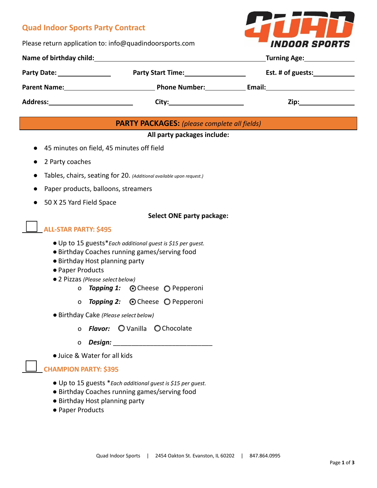# **Quad Indoor Sports Party Contract**

Please return application to: info@quadindoorsports.com



| Name of birthday child: |                                                       | Turning Age: Turning Age:                                                                                                                                                                                                      |  |
|-------------------------|-------------------------------------------------------|--------------------------------------------------------------------------------------------------------------------------------------------------------------------------------------------------------------------------------|--|
|                         | <b>Party Start Time:</b> The Start of The Start Time: | Est. # of guests:                                                                                                                                                                                                              |  |
| <b>Parent Name:</b>     | <b>Phone Number:</b>                                  | Email: Email: Email: Email: Email: Email: Email: Email: Email: Email: Email: Email: Email: Email: Email: Email: Email: Email: Email: Email: Email: Email: Email: Email: Email: Email: Email: Email: Email: Email: Email: Email |  |
| <b>Address:</b>         |                                                       | Zip:___                                                                                                                                                                                                                        |  |

## **PARTY PACKAGES:** *(please complete all fields)*

#### **All party packages include:**

- 45 minutes on field, 45 minutes off field
- 2 Party coaches
- Tables, chairs, seating for 20. *(Additional available upon request.)*
- Paper products, balloons, streamers
- 50 X 25 Yard Field Space

#### **Select ONE party package:**

### **ALL-STAR PARTY: \$4**95

- ●Up to 15 guests\**Each additional guest is \$15 per guest.*
- ●Birthday Coaches running games/serving food
- ●Birthday Host planning party
- Paper Products
- ●2 Pizzas *(Please* select *below)*
	- o **Topping 1: O** Cheese **O** Pepperoni
	- o *Topping 2:* © Cheese © Pepperoni
- ●Birthday Cake *(Pleas*e select *below)*
	- o **Flavor:** O Vanilla O Chocolate
	- o *Design:* \_\_\_\_\_\_\_\_\_\_\_\_\_\_\_\_\_\_\_\_\_\_\_\_\_\_\_
- ●Juice & Water for all kids

#### **CHAMPION PARTY: \$3**95

- Up to 15 guests \**Each additional guest is \$15 per guest.*
- Birthday Coaches running games/serving food
- Birthday Host planning party
- Paper Products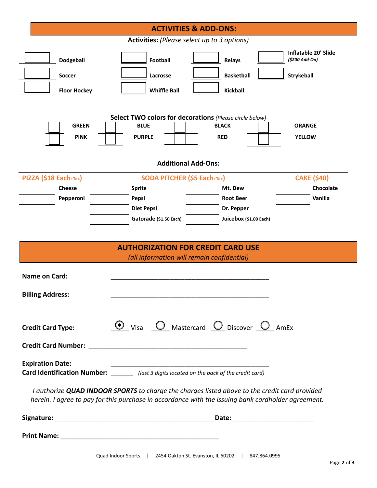|                                                                                            | <b>ACTIVITIES &amp; ADD-ONS:</b>            |                                                                                                                                                                                                            |                                        |  |  |
|--------------------------------------------------------------------------------------------|---------------------------------------------|------------------------------------------------------------------------------------------------------------------------------------------------------------------------------------------------------------|----------------------------------------|--|--|
| <b>Activities:</b> (Please select up to 3 options)                                         |                                             |                                                                                                                                                                                                            |                                        |  |  |
| <b>Dodgeball</b>                                                                           | <b>Football</b>                             | <b>Relays</b>                                                                                                                                                                                              | Inflatable 20' Slide<br>(\$200 Add-On) |  |  |
| <b>Soccer</b>                                                                              | Lacrosse                                    | <b>Basketball</b>                                                                                                                                                                                          | Strykeball                             |  |  |
| <b>Floor Hockey</b>                                                                        | <b>Whiffle Ball</b>                         | <b>Kickball</b>                                                                                                                                                                                            |                                        |  |  |
|                                                                                            |                                             |                                                                                                                                                                                                            |                                        |  |  |
|                                                                                            |                                             | Select TWO colors for decorations (Please circle below)                                                                                                                                                    |                                        |  |  |
| <b>GREEN</b>                                                                               | <b>BLUE</b>                                 | <b>BLACK</b>                                                                                                                                                                                               | <b>ORANGE</b>                          |  |  |
| <b>PINK</b>                                                                                | <b>PURPLE</b>                               | <b>RED</b>                                                                                                                                                                                                 | <b>YELLOW</b>                          |  |  |
|                                                                                            |                                             |                                                                                                                                                                                                            |                                        |  |  |
|                                                                                            |                                             | <b>Additional Add-Ons:</b>                                                                                                                                                                                 |                                        |  |  |
| PIZZA (\$18 Each+Tax)                                                                      | SODA PITCHER (\$5 Each+Tax)                 |                                                                                                                                                                                                            | <b>CAKE (\$40)</b>                     |  |  |
| <b>Cheese</b>                                                                              | <b>Sprite</b>                               | Mt. Dew                                                                                                                                                                                                    | Chocolate                              |  |  |
| Pepperoni                                                                                  | Pepsi                                       | <b>Root Beer</b>                                                                                                                                                                                           | Vanilla                                |  |  |
|                                                                                            | <b>Diet Pepsi</b><br>Gatorade (\$1.50 Each) | Dr. Pepper<br>Juicebox (\$1.00 Each)                                                                                                                                                                       |                                        |  |  |
|                                                                                            |                                             |                                                                                                                                                                                                            |                                        |  |  |
|                                                                                            |                                             |                                                                                                                                                                                                            |                                        |  |  |
|                                                                                            |                                             | <b>AUTHORIZATION FOR CREDIT CARD USE</b>                                                                                                                                                                   |                                        |  |  |
|                                                                                            |                                             | (all information will remain confidential)                                                                                                                                                                 |                                        |  |  |
| <b>Name on Card:</b>                                                                       |                                             |                                                                                                                                                                                                            |                                        |  |  |
|                                                                                            |                                             |                                                                                                                                                                                                            |                                        |  |  |
| <b>Billing Address:</b>                                                                    |                                             |                                                                                                                                                                                                            |                                        |  |  |
|                                                                                            |                                             |                                                                                                                                                                                                            |                                        |  |  |
| <b>Credit Card Type:</b>                                                                   |                                             | $\odot$ Visa $\odot$ Mastercard $\odot$ Discover $\odot$ AmEx                                                                                                                                              |                                        |  |  |
|                                                                                            |                                             |                                                                                                                                                                                                            |                                        |  |  |
|                                                                                            |                                             |                                                                                                                                                                                                            |                                        |  |  |
| <b>Expiration Date:</b>                                                                    |                                             |                                                                                                                                                                                                            |                                        |  |  |
| Card Identification Number: _______ (last 3 digits located on the back of the credit card) |                                             |                                                                                                                                                                                                            |                                        |  |  |
|                                                                                            |                                             | I authorize <b>QUAD INDOOR SPORTS</b> to charge the charges listed above to the credit card provided<br>herein. I agree to pay for this purchase in accordance with the issuing bank cardholder agreement. |                                        |  |  |
|                                                                                            |                                             |                                                                                                                                                                                                            |                                        |  |  |
|                                                                                            |                                             |                                                                                                                                                                                                            |                                        |  |  |
|                                                                                            |                                             |                                                                                                                                                                                                            |                                        |  |  |
|                                                                                            |                                             |                                                                                                                                                                                                            |                                        |  |  |